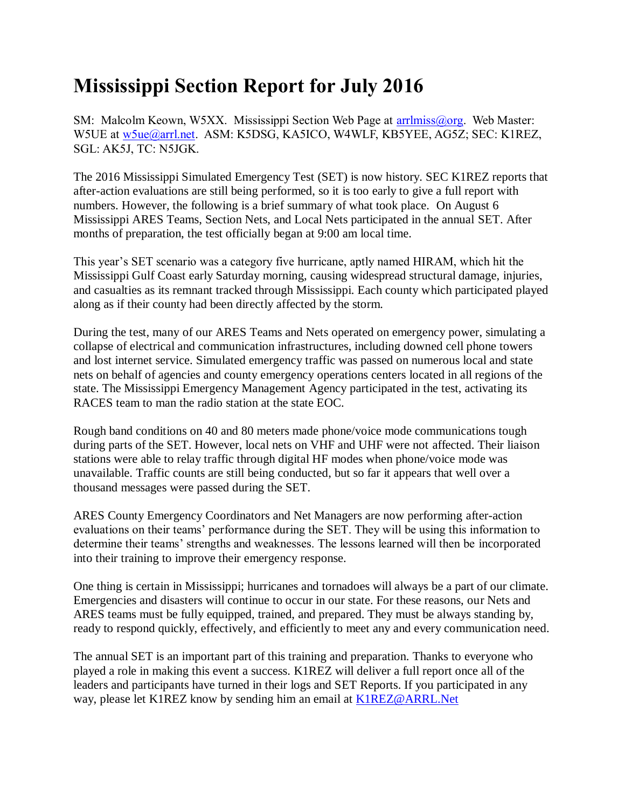## **Mississippi Section Report for July 2016**

SM: Malcolm Keown, W5XX. Mississippi Section Web Page at [arrlmiss@org.](mailto:arrlmiss@org) Web Master: W5UE at [w5ue@arrl.net.](mailto:w5ue@arrl.net) ASM: K5DSG, KA5ICO, W4WLF, KB5YEE, AG5Z; SEC: K1REZ, SGL: AK5J, TC: N5JGK.

The 2016 Mississippi Simulated Emergency Test (SET) is now history. SEC K1REZ reports that after-action evaluations are still being performed, so it is too early to give a full report with numbers. However, the following is a brief summary of what took place. On August 6 Mississippi ARES Teams, Section Nets, and Local Nets participated in the annual SET. After months of preparation, the test officially began at 9:00 am local time.

This year's SET scenario was a category five hurricane, aptly named HIRAM, which hit the Mississippi Gulf Coast early Saturday morning, causing widespread structural damage, injuries, and casualties as its remnant tracked through Mississippi. Each county which participated played along as if their county had been directly affected by the storm.

During the test, many of our ARES Teams and Nets operated on emergency power, simulating a collapse of electrical and communication infrastructures, including downed cell phone towers and lost internet service. Simulated emergency traffic was passed on numerous local and state nets on behalf of agencies and county emergency operations centers located in all regions of the state. The Mississippi Emergency Management Agency participated in the test, activating its RACES team to man the radio station at the state EOC.

Rough band conditions on 40 and 80 meters made phone/voice mode communications tough during parts of the SET. However, local nets on VHF and UHF were not affected. Their liaison stations were able to relay traffic through digital HF modes when phone/voice mode was unavailable. Traffic counts are still being conducted, but so far it appears that well over a thousand messages were passed during the SET.

ARES County Emergency Coordinators and Net Managers are now performing after-action evaluations on their teams' performance during the SET. They will be using this information to determine their teams' strengths and weaknesses. The lessons learned will then be incorporated into their training to improve their emergency response.

One thing is certain in Mississippi; hurricanes and tornadoes will always be a part of our climate. Emergencies and disasters will continue to occur in our state. For these reasons, our Nets and ARES teams must be fully equipped, trained, and prepared. They must be always standing by, ready to respond quickly, effectively, and efficiently to meet any and every communication need.

The annual SET is an important part of this training and preparation. Thanks to everyone who played a role in making this event a success. K1REZ will deliver a full report once all of the leaders and participants have turned in their logs and SET Reports. If you participated in any way, please let K1REZ know by sending him an email at [K1REZ@ARRL.Net](mailto:K1REZ@ARRL.Net)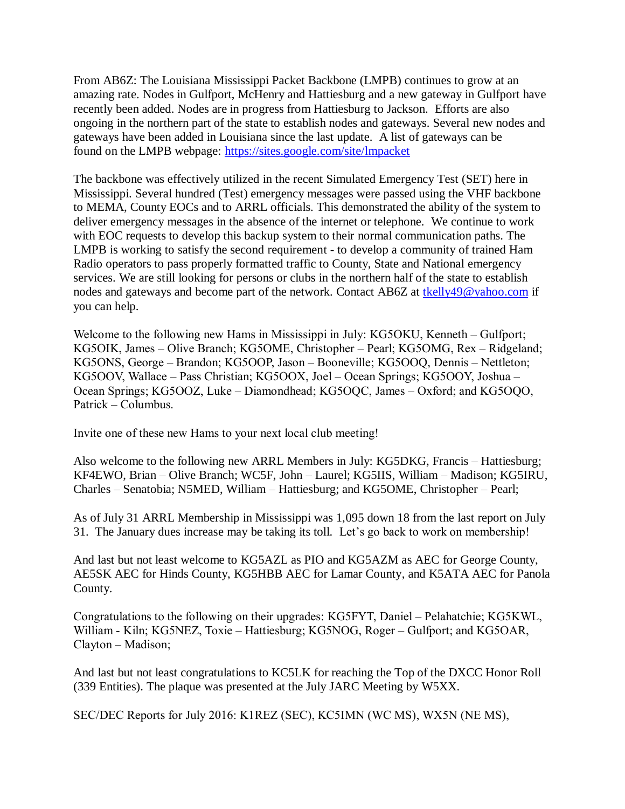From AB6Z: The Louisiana Mississippi Packet Backbone (LMPB) continues to grow at an amazing rate. Nodes in Gulfport, McHenry and Hattiesburg and a new gateway in Gulfport have recently been added. Nodes are in progress from Hattiesburg to Jackson. Efforts are also ongoing in the northern part of the state to establish nodes and gateways. Several new nodes and gateways have been added in Louisiana since the last update. A list of gateways can be found on the LMPB webpage: <https://sites.google.com/site/lmpacket>

The backbone was effectively utilized in the recent Simulated Emergency Test (SET) here in Mississippi. Several hundred (Test) emergency messages were passed using the VHF backbone to MEMA, County EOCs and to ARRL officials. This demonstrated the ability of the system to deliver emergency messages in the absence of the internet or telephone. We continue to work with EOC requests to develop this backup system to their normal communication paths. The LMPB is working to satisfy the second requirement - to develop a community of trained Ham Radio operators to pass properly formatted traffic to County, State and National emergency services. We are still looking for persons or clubs in the northern half of the state to establish nodes and gateways and become part of the network. Contact AB6Z at [tkelly49@yahoo.com](mailto:tkelly49@yahoo.com) if you can help.

Welcome to the following new Hams in Mississippi in July: KG5OKU, Kenneth – Gulfport; KG5OIK, James – Olive Branch; KG5OME, Christopher – Pearl; KG5OMG, Rex – Ridgeland; KG5ONS, George – Brandon; KG5OOP, Jason – Booneville; KG5OOQ, Dennis – Nettleton; KG5OOV, Wallace – Pass Christian; KG5OOX, Joel – Ocean Springs; KG5OOY, Joshua – Ocean Springs; KG5OOZ, Luke – Diamondhead; KG5OQC, James – Oxford; and KG5OQO, Patrick – Columbus.

Invite one of these new Hams to your next local club meeting!

Also welcome to the following new ARRL Members in July: KG5DKG, Francis – Hattiesburg; KF4EWO, Brian – Olive Branch; WC5F, John – Laurel; KG5IIS, William – Madison; KG5IRU, Charles – Senatobia; N5MED, William – Hattiesburg; and KG5OME, Christopher – Pearl;

As of July 31 ARRL Membership in Mississippi was 1,095 down 18 from the last report on July 31. The January dues increase may be taking its toll. Let's go back to work on membership!

And last but not least welcome to KG5AZL as PIO and KG5AZM as AEC for George County, AE5SK AEC for Hinds County, KG5HBB AEC for Lamar County, and K5ATA AEC for Panola County.

Congratulations to the following on their upgrades: KG5FYT, Daniel – Pelahatchie; KG5KWL, William - Kiln; KG5NEZ, Toxie – Hattiesburg; KG5NOG, Roger – Gulfport; and KG5OAR, Clayton – Madison;

And last but not least congratulations to KC5LK for reaching the Top of the DXCC Honor Roll (339 Entities). The plaque was presented at the July JARC Meeting by W5XX.

SEC/DEC Reports for July 2016: K1REZ (SEC), KC5IMN (WC MS), WX5N (NE MS),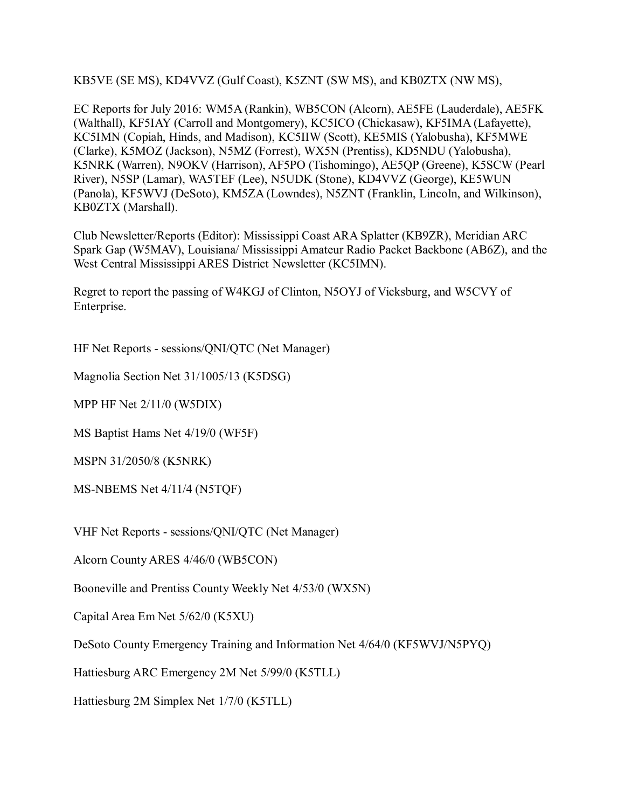KB5VE (SE MS), KD4VVZ (Gulf Coast), K5ZNT (SW MS), and KB0ZTX (NW MS),

EC Reports for July 2016: WM5A (Rankin), WB5CON (Alcorn), AE5FE (Lauderdale), AE5FK (Walthall), KF5IAY (Carroll and Montgomery), KC5ICO (Chickasaw), KF5IMA (Lafayette), KC5IMN (Copiah, Hinds, and Madison), KC5IIW (Scott), KE5MIS (Yalobusha), KF5MWE (Clarke), K5MOZ (Jackson), N5MZ (Forrest), WX5N (Prentiss), KD5NDU (Yalobusha), K5NRK (Warren), N9OKV (Harrison), AF5PO (Tishomingo), AE5QP (Greene), K5SCW (Pearl River), N5SP (Lamar), WA5TEF (Lee), N5UDK (Stone), KD4VVZ (George), KE5WUN (Panola), KF5WVJ (DeSoto), KM5ZA (Lowndes), N5ZNT (Franklin, Lincoln, and Wilkinson), KB0ZTX (Marshall).

Club Newsletter/Reports (Editor): Mississippi Coast ARA Splatter (KB9ZR), Meridian ARC Spark Gap (W5MAV), Louisiana/ Mississippi Amateur Radio Packet Backbone (AB6Z), and the West Central Mississippi ARES District Newsletter (KC5IMN).

Regret to report the passing of W4KGJ of Clinton, N5OYJ of Vicksburg, and W5CVY of Enterprise.

HF Net Reports - sessions/QNI/QTC (Net Manager)

Magnolia Section Net 31/1005/13 (K5DSG)

MPP HF Net 2/11/0 (W5DIX)

MS Baptist Hams Net 4/19/0 (WF5F)

MSPN 31/2050/8 (K5NRK)

MS-NBEMS Net 4/11/4 (N5TQF)

VHF Net Reports - sessions/QNI/QTC (Net Manager)

Alcorn County ARES 4/46/0 (WB5CON)

Booneville and Prentiss County Weekly Net 4/53/0 (WX5N)

Capital Area Em Net 5/62/0 (K5XU)

DeSoto County Emergency Training and Information Net 4/64/0 (KF5WVJ/N5PYQ)

Hattiesburg ARC Emergency 2M Net 5/99/0 (K5TLL)

Hattiesburg 2M Simplex Net 1/7/0 (K5TLL)